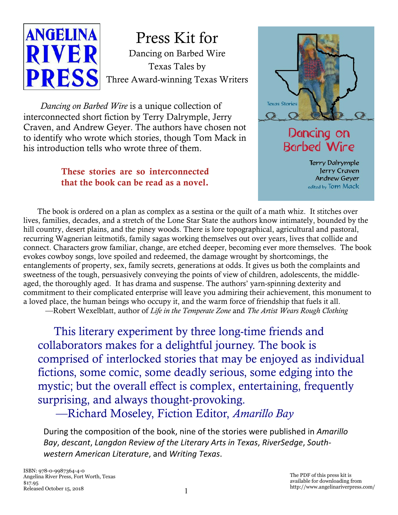

Dancing on Barbed Wire Texas Tales by Three Award-winning Texas Writers Press Kit for

*Dancing on Barbed Wire* is a unique collection of interconnected short fiction by Terry Dalrymple, Jerry Craven, and Andrew Geyer. The authors have chosen not to identify who wrote which stories, though Tom Mack in his introduction tells who wrote three of them.

#### **These stories are so interconnected that the book can be read as a novel.**



### Dancing on Barbed Wire

**Terry Dalrymple** Jerry Craven Andrew Geyer edited by Tom Mack

The book is ordered on a plan as complex as a sestina or the quilt of a math whiz. It stitches over lives, families, decades, and a stretch of the Lone Star State the authors know intimately, bounded by the hill country, desert plains, and the piney woods. There is lore topographical, agricultural and pastoral, recurring Wagnerian leitmotifs, family sagas working themselves out over years, lives that collide and connect. Characters grow familiar, change, are etched deeper, becoming ever more themselves. The book evokes cowboy songs, love spoiled and redeemed, the damage wrought by shortcomings, the entanglements of property, sex, family secrets, generations at odds. It gives us both the complaints and sweetness of the tough, persuasively conveying the points of view of children, adolescents, the middleaged, the thoroughly aged. It has drama and suspense. The authors' yarn-spinning dexterity and commitment to their complicated enterprise will leave you admiring their achievement, this monument to a loved place, the human beings who occupy it, and the warm force of friendship that fuels it all.

—Robert Wexelblatt, author of *Life in the Temperate Zone* and *The Artist Wears Rough Clothing*

This literary experiment by three long-time friends and collaborators makes for a delightful journey. The book is comprised of interlocked stories that may be enjoyed as individual fictions, some comic, some deadly serious, some edging into the mystic; but the overall effect is complex, entertaining, frequently surprising, and always thought-provoking.

—Richard Moseley, Fiction Editor, *Amarillo Bay*

During the composition of the book, nine of the stories were published in *Amarillo Bay*, *descant*, *Langdon Review of the Literary Arts in Texas*, *RiverSedge*, *Southwestern American Literature*, and *Writing Texas*.

The PDF of this press kit is available for downloading from http://www.angelinariverpress.com/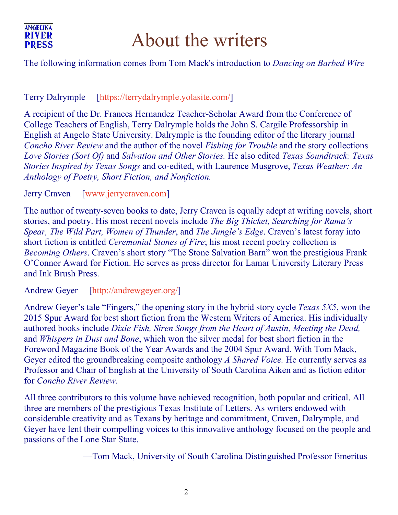

# About the writers

#### The following information comes from Tom Mack's introduction to *Dancing on Barbed Wire*

#### Terry Dalrymple [<https://terrydalrymple.yolasite.com/>]

A recipient of the Dr. Frances Hernandez Teacher-Scholar Award from the Conference of College Teachers of English, Terry Dalrymple holds the John S. Cargile Professorship in English at Angelo State University. Dalrymple is the founding editor of the literary journal *Concho River Review* and the author of the novel *Fishing for Trouble* and the story collections *Love Stories (Sort Of)* and *Salvation and Other Stories.* He also edited *Texas Soundtrack: Texas Stories Inspired by Texas Songs* and co-edited, with Laurence Musgrove, *Texas Weather: An Anthology of Poetry, Short Fiction, and Nonfiction.*

#### Jerry Craven [<www.jerrycraven.com>]

The author of twenty-seven books to date, Jerry Craven is equally adept at writing novels, short stories, and poetry. His most recent novels include *The Big Thicket, Searching for Rama's Spear, The Wild Part, Women of Thunder*, and *The Jungle's Edge*. Craven's latest foray into short fiction is entitled *Ceremonial Stones of Fire*; his most recent poetry collection is *Becoming Others*. Craven's short story "The Stone Salvation Barn" won the prestigious Frank O'Connor Award for Fiction. He serves as press director for Lamar University Literary Press and Ink Brush Press.

Andrew Geyer [[http://andrewgeyer.org/\]](http://andrewgeyer.org/)

Andrew Geyer's tale "Fingers," the opening story in the hybrid story cycle *Texas 5X5*, won the 2015 Spur Award for best short fiction from the Western Writers of America. His individually authored books include *Dixie Fish, Siren Songs from the Heart of Austin, Meeting the Dead,* and *Whispers in Dust and Bone*, which won the silver medal for best short fiction in the Foreword Magazine Book of the Year Awards and the 2004 Spur Award. With Tom Mack, Geyer edited the groundbreaking composite anthology *A Shared Voice.* He currently serves as Professor and Chair of English at the University of South Carolina Aiken and as fiction editor for *Concho River Review*.

All three contributors to this volume have achieved recognition, both popular and critical. All three are members of the prestigious Texas Institute of Letters. As writers endowed with considerable creativity and as Texans by heritage and commitment, Craven, Dalrymple, and Geyer have lent their compelling voices to this innovative anthology focused on the people and passions of the Lone Star State.

—Tom Mack, University of South Carolina Distinguished Professor Emeritus